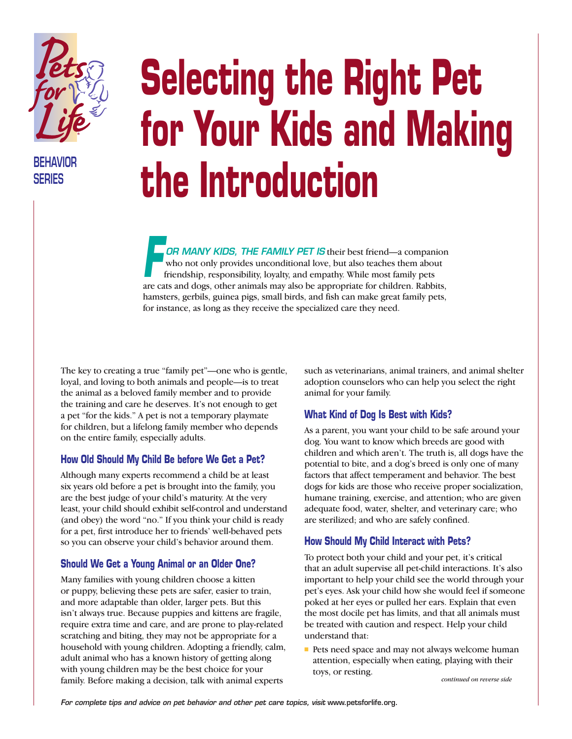

**BEHAVIOR SERIES**

# **Selecting the Right Pet for Your Kids and Making the Introduction**

*OR MANY KIDS, THE FAMILY PET IS* their best friend—a companion who not only provides unconditional love, but also teaches them about friendship, responsibility, loyalty, and empathy. While most family pets are cats and dogs, other animals may also be appropriate for children. Rabbits, and dogs, other animals may also be appropriate for children. Rabbits, hamsters, gerbils, guinea pigs, small birds, and fish can make great family pets, for instance, as long as they receive the specialized care they need.

The key to creating a true "family pet"—one who is gentle, loyal, and loving to both animals and people—is to treat the animal as a beloved family member and to provide the training and care he deserves. It's not enough to get a pet "for the kids." A pet is not a temporary playmate for children, but a lifelong family member who depends on the entire family, especially adults.

#### **How Old Should My Child Be before We Get a Pet?**

Although many experts recommend a child be at least six years old before a pet is brought into the family, you are the best judge of your child's maturity. At the very least, your child should exhibit self-control and understand (and obey) the word "no." If you think your child is ready for a pet, first introduce her to friends' well-behaved pets so you can observe your child's behavior around them.

# **Should We Get a Young Animal or an Older One?**

Many families with young children choose a kitten or puppy, believing these pets are safer, easier to train, and more adaptable than older, larger pets. But this isn't always true. Because puppies and kittens are fragile, require extra time and care, and are prone to play-related scratching and biting, they may not be appropriate for a household with young children. Adopting a friendly, calm, adult animal who has a known history of getting along with young children may be the best choice for your family. Before making a decision, talk with animal experts

such as veterinarians, animal trainers, and animal shelter adoption counselors who can help you select the right animal for your family.

# **What Kind of Dog Is Best with Kids?**

As a parent, you want your child to be safe around your dog. You want to know which breeds are good with children and which aren't. The truth is, all dogs have the potential to bite, and a dog's breed is only one of many factors that affect temperament and behavior. The best dogs for kids are those who receive proper socialization, humane training, exercise, and attention; who are given adequate food, water, shelter, and veterinary care; who are sterilized; and who are safely confined.

# **How Should My Child Interact with Pets?**

To protect both your child and your pet, it's critical that an adult supervise all pet-child interactions. It's also important to help your child see the world through your pet's eyes. Ask your child how she would feel if someone poked at her eyes or pulled her ears. Explain that even the most docile pet has limits, and that all animals must be treated with caution and respect. Help your child understand that:

■ Pets need space and may not always welcome human attention, especially when eating, playing with their toys, or resting.

*continued on reverse side*